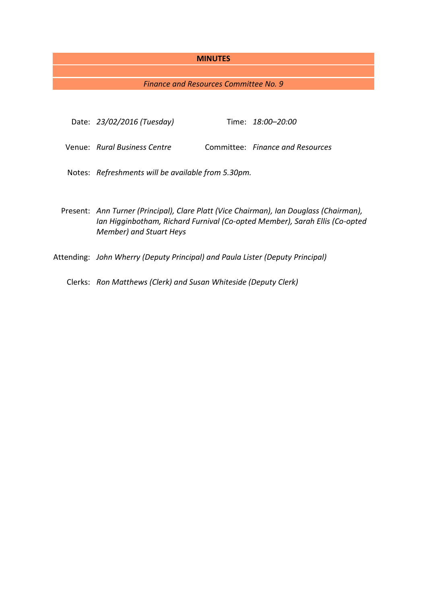### **MINUTES**

### *Finance and Resources Committee No. 9*

|  | Date: 23/02/2016 (Tuesday) |  | Time: 18:00-20:00 |
|--|----------------------------|--|-------------------|
|--|----------------------------|--|-------------------|

Venue: *Rural Business Centre* Committee: *Finance and Resources*

- Notes: *Refreshments will be available from 5.30pm.*
- Present: *Ann Turner (Principal), Clare Platt (Vice Chairman), Ian Douglass (Chairman), Ian Higginbotham, Richard Furnival (Co-opted Member), Sarah Ellis (Co-opted Member) and Stuart Heys*
- Attending: *John Wherry (Deputy Principal) and Paula Lister (Deputy Principal)*

Clerks: *Ron Matthews (Clerk) and Susan Whiteside (Deputy Clerk)*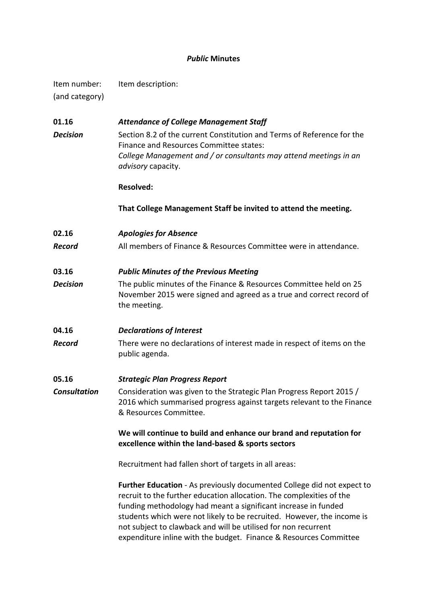# *Public* **Minutes**

| Item number:   | Item description: |
|----------------|-------------------|
| (and category) |                   |
|                |                   |

| 01.16               | <b>Attendance of College Management Staff</b>                                                                                                                                                                                                                                                                                                                |  |
|---------------------|--------------------------------------------------------------------------------------------------------------------------------------------------------------------------------------------------------------------------------------------------------------------------------------------------------------------------------------------------------------|--|
| <b>Decision</b>     | Section 8.2 of the current Constitution and Terms of Reference for the<br>Finance and Resources Committee states:                                                                                                                                                                                                                                            |  |
|                     | College Management and / or consultants may attend meetings in an<br>advisory capacity.                                                                                                                                                                                                                                                                      |  |
|                     | <b>Resolved:</b>                                                                                                                                                                                                                                                                                                                                             |  |
|                     | That College Management Staff be invited to attend the meeting.                                                                                                                                                                                                                                                                                              |  |
| 02.16               | <b>Apologies for Absence</b>                                                                                                                                                                                                                                                                                                                                 |  |
| <b>Record</b>       | All members of Finance & Resources Committee were in attendance.                                                                                                                                                                                                                                                                                             |  |
| 03.16               | <b>Public Minutes of the Previous Meeting</b>                                                                                                                                                                                                                                                                                                                |  |
| <b>Decision</b>     | The public minutes of the Finance & Resources Committee held on 25<br>November 2015 were signed and agreed as a true and correct record of<br>the meeting.                                                                                                                                                                                                   |  |
| 04.16               | <b>Declarations of Interest</b>                                                                                                                                                                                                                                                                                                                              |  |
| <b>Record</b>       | There were no declarations of interest made in respect of items on the<br>public agenda.                                                                                                                                                                                                                                                                     |  |
| 05.16               | <b>Strategic Plan Progress Report</b>                                                                                                                                                                                                                                                                                                                        |  |
| <b>Consultation</b> | Consideration was given to the Strategic Plan Progress Report 2015 /<br>2016 which summarised progress against targets relevant to the Finance<br>& Resources Committee.                                                                                                                                                                                     |  |
|                     | We will continue to build and enhance our brand and reputation for<br>excellence within the land-based & sports sectors                                                                                                                                                                                                                                      |  |
|                     | Recruitment had fallen short of targets in all areas:                                                                                                                                                                                                                                                                                                        |  |
|                     | Further Education - As previously documented College did not expect to<br>recruit to the further education allocation. The complexities of the<br>funding methodology had meant a significant increase in funded<br>students which were not likely to be recruited. However, the income is<br>not subject to clawback and will be utilised for non recurrent |  |

expenditure inline with the budget. Finance & Resources Committee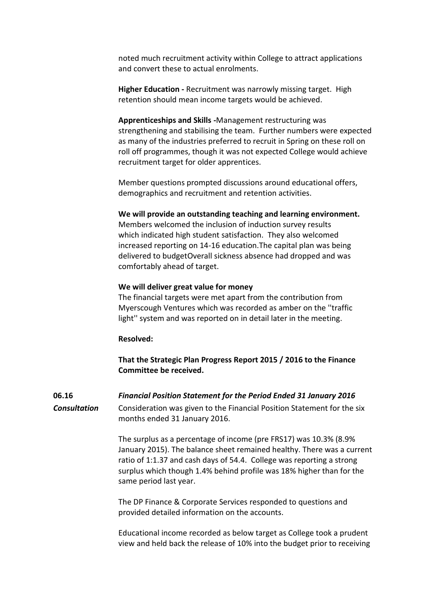noted much recruitment activity within College to attract applications and convert these to actual enrolments.

**Higher Education -** Recruitment was narrowly missing target. High retention should mean income targets would be achieved.

**Apprenticeships and Skills -**Management restructuring was strengthening and stabilising the team. Further numbers were expected as many of the industries preferred to recruit in Spring on these roll on roll off programmes, though it was not expected College would achieve recruitment target for older apprentices.

Member questions prompted discussions around educational offers, demographics and recruitment and retention activities.

### **We will provide an outstanding teaching and learning environment.**

Members welcomed the inclusion of induction survey results which indicated high student satisfaction. They also welcomed increased reporting on 14-16 education.The capital plan was being delivered to budgetOverall sickness absence had dropped and was comfortably ahead of target.

# **We will deliver great value for money**

The financial targets were met apart from the contribution from Myerscough Ventures which was recorded as amber on the ''traffic light'' system and was reported on in detail later in the meeting.

### **Resolved:**

**That the Strategic Plan Progress Report 2015 / 2016 to the Finance Committee be received.**

**06.16** *Financial Position Statement for the Period Ended 31 January 2016 Consultation* Consideration was given to the Financial Position Statement for the six months ended 31 January 2016.

> The surplus as a percentage of income (pre FRS17) was 10.3% (8.9% January 2015). The balance sheet remained healthy. There was a current ratio of 1:1.37 and cash days of 54.4. College was reporting a strong surplus which though 1.4% behind profile was 18% higher than for the same period last year.

The DP Finance & Corporate Services responded to questions and provided detailed information on the accounts.

Educational income recorded as below target as College took a prudent view and held back the release of 10% into the budget prior to receiving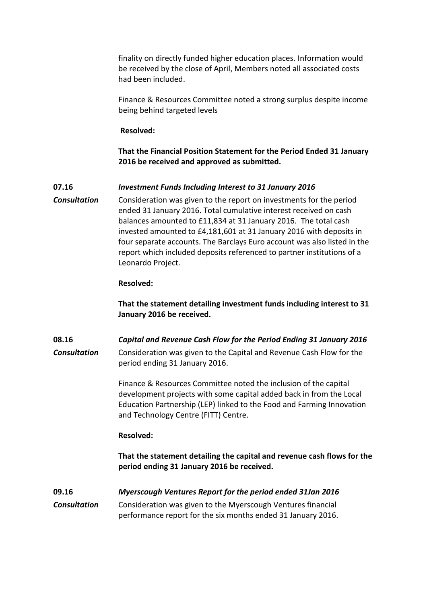finality on directly funded higher education places. Information would be received by the close of April, Members noted all associated costs had been included.

Finance & Resources Committee noted a strong surplus despite income being behind targeted levels

### **Resolved:**

**That the Financial Position Statement for the Period Ended 31 January 2016 be received and approved as submitted.**

### **07.16** *Investment Funds Including Interest to 31 January 2016*

**Consultation** Consideration was given to the report on investments for the period ended 31 January 2016. Total cumulative interest received on cash balances amounted to £11,834 at 31 January 2016. The total cash invested amounted to £4,181,601 at 31 January 2016 with deposits in four separate accounts. The Barclays Euro account was also listed in the report which included deposits referenced to partner institutions of a Leonardo Project.

#### **Resolved:**

**That the statement detailing investment funds including interest to 31 January 2016 be received.**

**08.16** *Capital and Revenue Cash Flow for the Period Ending 31 January 2016 Consultation* Consideration was given to the Capital and Revenue Cash Flow for the period ending 31 January 2016.

> Finance & Resources Committee noted the inclusion of the capital development projects with some capital added back in from the Local Education Partnership (LEP) linked to the Food and Farming Innovation and Technology Centre (FITT) Centre.

#### **Resolved:**

**That the statement detailing the capital and revenue cash flows for the period ending 31 January 2016 be received.**

# **09.16** *Myerscough Ventures Report for the period ended 31Jan 2016*

*Consultation* Consideration was given to the Myerscough Ventures financial performance report for the six months ended 31 January 2016.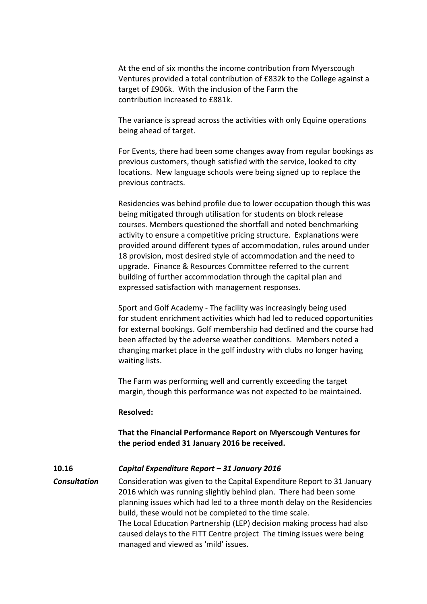At the end of six months the income contribution from Myerscough Ventures provided a total contribution of £832k to the College against a target of £906k. With the inclusion of the Farm the contribution increased to £881k.

The variance is spread across the activities with only Equine operations being ahead of target.

For Events, there had been some changes away from regular bookings as previous customers, though satisfied with the service, looked to city locations. New language schools were being signed up to replace the previous contracts.

Residencies was behind profile due to lower occupation though this was being mitigated through utilisation for students on block release courses. Members questioned the shortfall and noted benchmarking activity to ensure a competitive pricing structure. Explanations were provided around different types of accommodation, rules around under 18 provision, most desired style of accommodation and the need to upgrade. Finance & Resources Committee referred to the current building of further accommodation through the capital plan and expressed satisfaction with management responses.

Sport and Golf Academy - The facility was increasingly being used for student enrichment activities which had led to reduced opportunities for external bookings. Golf membership had declined and the course had been affected by the adverse weather conditions. Members noted a changing market place in the golf industry with clubs no longer having waiting lists.

The Farm was performing well and currently exceeding the target margin, though this performance was not expected to be maintained.

#### **Resolved:**

# **That the Financial Performance Report on Myerscough Ventures for the period ended 31 January 2016 be received.**

#### **10.16** *Capital Expenditure Report – 31 January 2016*

*Consultation* Consideration was given to the Capital Expenditure Report to 31 January 2016 which was running slightly behind plan. There had been some planning issues which had led to a three month delay on the Residencies build, these would not be completed to the time scale. The Local Education Partnership (LEP) decision making process had also caused delays to the FITT Centre project The timing issues were being managed and viewed as 'mild' issues.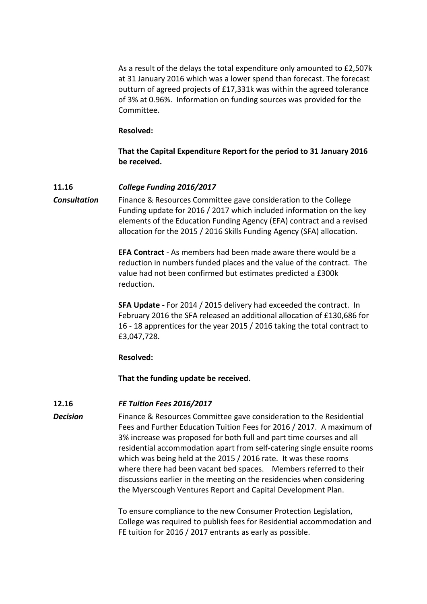As a result of the delays the total expenditure only amounted to £2,507k at 31 January 2016 which was a lower spend than forecast. The forecast outturn of agreed projects of £17,331k was within the agreed tolerance of 3% at 0.96%. Information on funding sources was provided for the Committee.

#### **Resolved:**

**That the Capital Expenditure Report for the period to 31 January 2016 be received.**

### **11.16** *College Funding 2016/2017*

**Consultation** Finance & Resources Committee gave consideration to the College Funding update for 2016 / 2017 which included information on the key elements of the Education Funding Agency (EFA) contract and a revised allocation for the 2015 / 2016 Skills Funding Agency (SFA) allocation.

> **EFA Contract** - As members had been made aware there would be a reduction in numbers funded places and the value of the contract. The value had not been confirmed but estimates predicted a £300k reduction.

> **SFA Update -** For 2014 / 2015 delivery had exceeded the contract. In February 2016 the SFA released an additional allocation of £130,686 for 16 - 18 apprentices for the year 2015 / 2016 taking the total contract to £3,047,728.

#### **Resolved:**

**That the funding update be received.**

#### **12.16** *FE Tuition Fees 2016/2017*

**Decision** Finance & Resources Committee gave consideration to the Residential Fees and Further Education Tuition Fees for 2016 / 2017. A maximum of 3% increase was proposed for both full and part time courses and all residential accommodation apart from self-catering single ensuite rooms which was being held at the 2015 / 2016 rate. It was these rooms where there had been vacant bed spaces. Members referred to their discussions earlier in the meeting on the residencies when considering the Myerscough Ventures Report and Capital Development Plan.

> To ensure compliance to the new Consumer Protection Legislation, College was required to publish fees for Residential accommodation and FE tuition for 2016 / 2017 entrants as early as possible.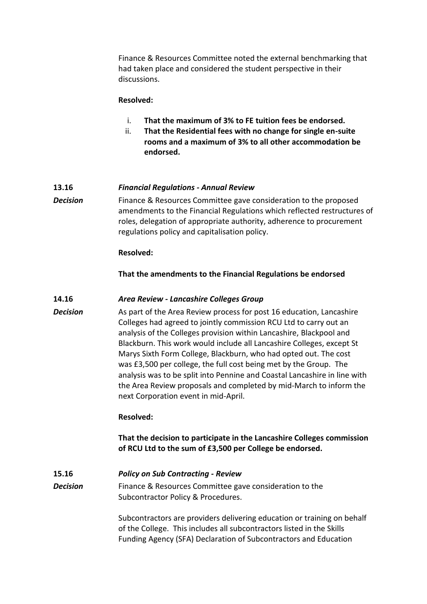Finance & Resources Committee noted the external benchmarking that had taken place and considered the student perspective in their discussions.

# **Resolved:**

- i. **That the maximum of 3% to FE tuition fees be endorsed.**
- ii. **That the Residential fees with no change for single en-suite rooms and a maximum of 3% to all other accommodation be endorsed.**

### **13.16** *Financial Regulations - Annual Review*

**Decision** Finance & Resources Committee gave consideration to the proposed amendments to the Financial Regulations which reflected restructures of roles, delegation of appropriate authority, adherence to procurement regulations policy and capitalisation policy.

### **Resolved:**

# **That the amendments to the Financial Regulations be endorsed**

### **14.16** *Area Review - Lancashire Colleges Group*

*Decision* As part of the Area Review process for post 16 education, Lancashire Colleges had agreed to jointly commission RCU Ltd to carry out an analysis of the Colleges provision within Lancashire, Blackpool and Blackburn. This work would include all Lancashire Colleges, except St Marys Sixth Form College, Blackburn, who had opted out. The cost was £3,500 per college, the full cost being met by the Group. The analysis was to be split into Pennine and Coastal Lancashire in line with the Area Review proposals and completed by mid-March to inform the next Corporation event in mid-April.

# **Resolved:**

**That the decision to participate in the Lancashire Colleges commission of RCU Ltd to the sum of £3,500 per College be endorsed.**

# **15.16** *Policy on Sub Contracting - Review*

**Decision** Finance & Resources Committee gave consideration to the Subcontractor Policy & Procedures.

> Subcontractors are providers delivering education or training on behalf of the College. This includes all subcontractors listed in the Skills Funding Agency (SFA) Declaration of Subcontractors and Education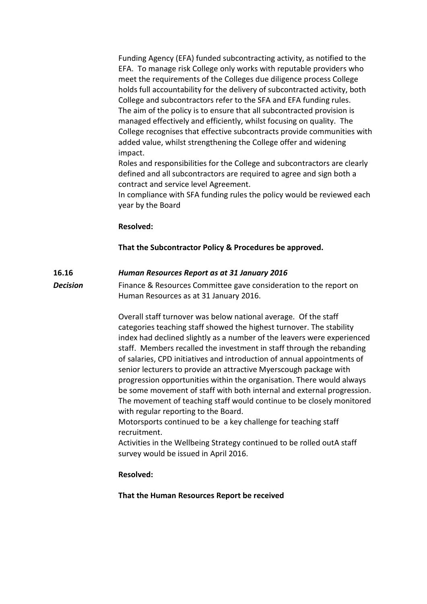Funding Agency (EFA) funded subcontracting activity, as notified to the EFA. To manage risk College only works with reputable providers who meet the requirements of the Colleges due diligence process College holds full accountability for the delivery of subcontracted activity, both College and subcontractors refer to the SFA and EFA funding rules. The aim of the policy is to ensure that all subcontracted provision is managed effectively and efficiently, whilst focusing on quality. The College recognises that effective subcontracts provide communities with added value, whilst strengthening the College offer and widening impact.

Roles and responsibilities for the College and subcontractors are clearly defined and all subcontractors are required to agree and sign both a contract and service level Agreement.

In compliance with SFA funding rules the policy would be reviewed each year by the Board

# **Resolved:**

# **That the Subcontractor Policy & Procedures be approved.**

# **16.16** *Human Resources Report as at 31 January 2016*

**Decision** Finance & Resources Committee gave consideration to the report on Human Resources as at 31 January 2016.

> Overall staff turnover was below national average. Of the staff categories teaching staff showed the highest turnover. The stability index had declined slightly as a number of the leavers were experienced staff. Members recalled the investment in staff through the rebanding of salaries, CPD initiatives and introduction of annual appointments of senior lecturers to provide an attractive Myerscough package with progression opportunities within the organisation. There would always be some movement of staff with both internal and external progression. The movement of teaching staff would continue to be closely monitored with regular reporting to the Board.

Motorsports continued to be a key challenge for teaching staff recruitment.

Activities in the Wellbeing Strategy continued to be rolled outA staff survey would be issued in April 2016.

# **Resolved:**

**That the Human Resources Report be received**